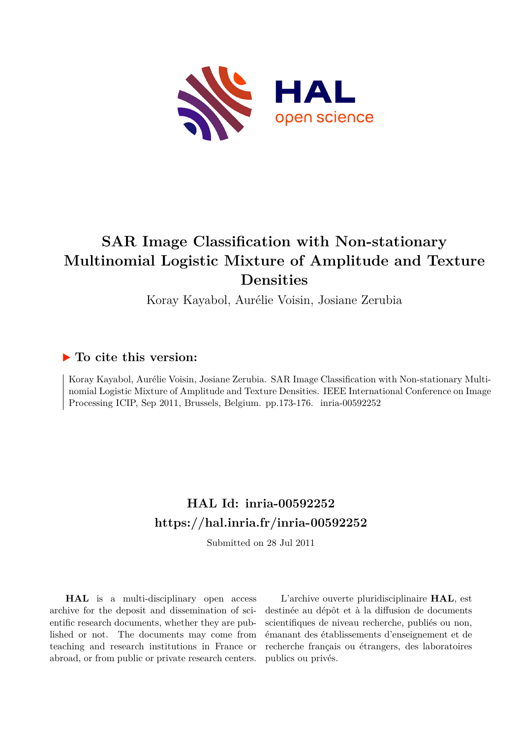

# **SAR Image Classification with Non-stationary Multinomial Logistic Mixture of Amplitude and Texture Densities**

Koray Kayabol, Aurélie Voisin, Josiane Zerubia

# **To cite this version:**

Koray Kayabol, Aurélie Voisin, Josiane Zerubia. SAR Image Classification with Non-stationary Multinomial Logistic Mixture of Amplitude and Texture Densities. IEEE International Conference on Image Processing ICIP, Sep 2011, Brussels, Belgium. pp.173-176. inria-00592252

# **HAL Id: inria-00592252 <https://hal.inria.fr/inria-00592252>**

Submitted on 28 Jul 2011

**HAL** is a multi-disciplinary open access archive for the deposit and dissemination of scientific research documents, whether they are published or not. The documents may come from teaching and research institutions in France or abroad, or from public or private research centers.

L'archive ouverte pluridisciplinaire **HAL**, est destinée au dépôt et à la diffusion de documents scientifiques de niveau recherche, publiés ou non, émanant des établissements d'enseignement et de recherche français ou étrangers, des laboratoires publics ou privés.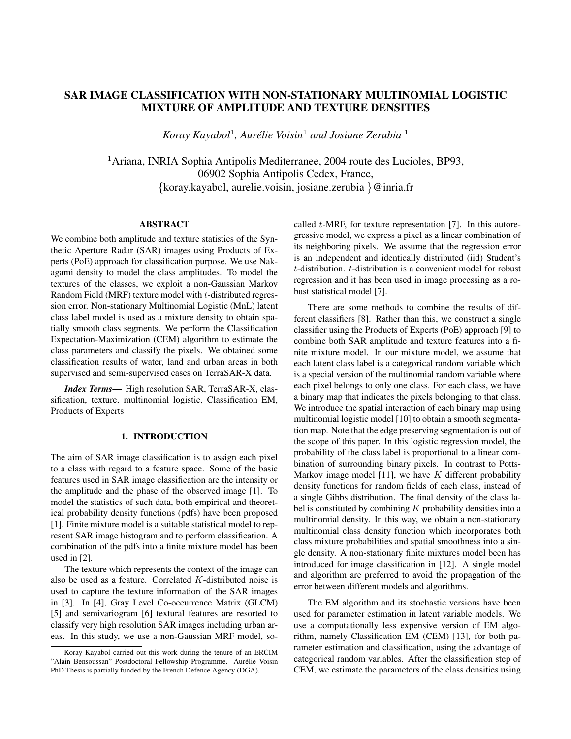## **SAR IMAGE CLASSIFICATION WITH NON-STATIONARY MULTINOMIAL LOGISTIC MIXTURE OF AMPLITUDE AND TEXTURE DENSITIES**

*Koray Kayabol*<sup>1</sup> *, Aurelie Voisin ´* <sup>1</sup> *and Josiane Zerubia* <sup>1</sup>

<sup>1</sup>Ariana, INRIA Sophia Antipolis Mediterranee, 2004 route des Lucioles, BP93, 06902 Sophia Antipolis Cedex, France, {koray.kayabol, aurelie.voisin, josiane.zerubia }@inria.fr

#### **ABSTRACT**

We combine both amplitude and texture statistics of the Synthetic Aperture Radar (SAR) images using Products of Experts (PoE) approach for classification purpose. We use Nakagami density to model the class amplitudes. To model the textures of the classes, we exploit a non-Gaussian Markov Random Field (MRF) texture model with t-distributed regression error. Non-stationary Multinomial Logistic (MnL) latent class label model is used as a mixture density to obtain spatially smooth class segments. We perform the Classification Expectation-Maximization (CEM) algorithm to estimate the class parameters and classify the pixels. We obtained some classification results of water, land and urban areas in both supervised and semi-supervised cases on TerraSAR-X data.

*Index Terms***—** High resolution SAR, TerraSAR-X, classification, texture, multinomial logistic, Classification EM, Products of Experts

#### **1. INTRODUCTION**

The aim of SAR image classification is to assign each pixel to a class with regard to a feature space. Some of the basic features used in SAR image classification are the intensity or the amplitude and the phase of the observed image [1]. To model the statistics of such data, both empirical and theoretical probability density functions (pdfs) have been proposed [1]. Finite mixture model is a suitable statistical model to represent SAR image histogram and to perform classification. A combination of the pdfs into a finite mixture model has been used in [2].

The texture which represents the context of the image can also be used as a feature. Correlated K-distributed noise is used to capture the texture information of the SAR images in [3]. In [4], Gray Level Co-occurrence Matrix (GLCM) [5] and semivariogram [6] textural features are resorted to classify very high resolution SAR images including urban areas. In this study, we use a non-Gaussian MRF model, socalled  $t$ -MRF, for texture representation [7]. In this autoregressive model, we express a pixel as a linear combination of its neighboring pixels. We assume that the regression error is an independent and identically distributed (iid) Student's t-distribution. t-distribution is a convenient model for robust regression and it has been used in image processing as a robust statistical model [7].

There are some methods to combine the results of different classifiers [8]. Rather than this, we construct a single classifier using the Products of Experts (PoE) approach [9] to combine both SAR amplitude and texture features into a finite mixture model. In our mixture model, we assume that each latent class label is a categorical random variable which is a special version of the multinomial random variable where each pixel belongs to only one class. For each class, we have a binary map that indicates the pixels belonging to that class. We introduce the spatial interaction of each binary map using multinomial logistic model [10] to obtain a smooth segmentation map. Note that the edge preserving segmentation is out of the scope of this paper. In this logistic regression model, the probability of the class label is proportional to a linear combination of surrounding binary pixels. In contrast to Potts-Markov image model [11], we have  $K$  different probability density functions for random fields of each class, instead of a single Gibbs distribution. The final density of the class label is constituted by combining  $K$  probability densities into a multinomial density. In this way, we obtain a non-stationary multinomial class density function which incorporates both class mixture probabilities and spatial smoothness into a single density. A non-stationary finite mixtures model been has introduced for image classification in [12]. A single model and algorithm are preferred to avoid the propagation of the error between different models and algorithms.

The EM algorithm and its stochastic versions have been used for parameter estimation in latent variable models. We use a computationally less expensive version of EM algorithm, namely Classification EM (CEM) [13], for both parameter estimation and classification, using the advantage of categorical random variables. After the classification step of CEM, we estimate the parameters of the class densities using

Koray Kayabol carried out this work during the tenure of an ERCIM "Alain Bensoussan" Postdoctoral Fellowship Programme. Aurélie Voisin PhD Thesis is partially funded by the French Defence Agency (DGA).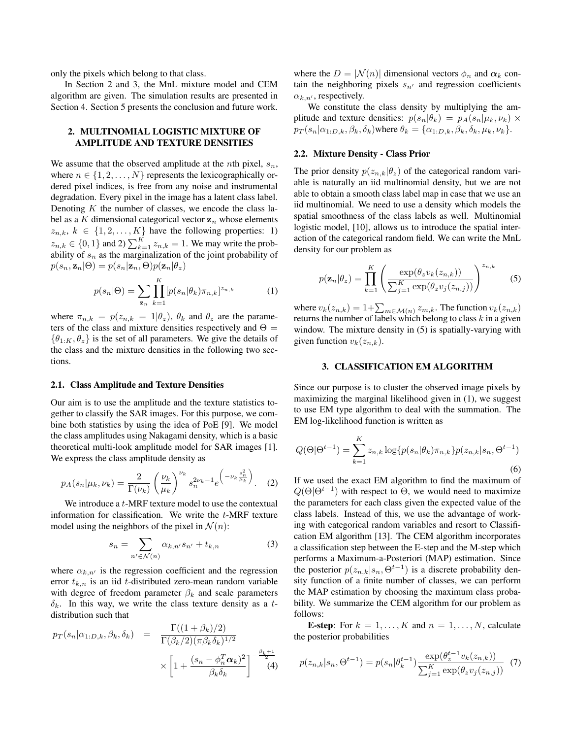only the pixels which belong to that class.

In Section 2 and 3, the MnL mixture model and CEM algorithm are given. The simulation results are presented in Section 4. Section 5 presents the conclusion and future work.

#### **2. MULTINOMIAL LOGISTIC MIXTURE OF AMPLITUDE AND TEXTURE DENSITIES**

We assume that the observed amplitude at the *n*th pixel,  $s_n$ , where  $n \in \{1, 2, ..., N\}$  represents the lexicographically ordered pixel indices, is free from any noise and instrumental degradation. Every pixel in the image has a latent class label. Denoting  $K$  the number of classes, we encode the class label as a K dimensional categorical vector  $z_n$  whose elements  $z_{n,k}, k \in \{1, 2, ..., K\}$  have the following properties: 1)  $z_{n,k} \in \{0,1\}$  and 2)  $\sum_{k=1}^{K} z_{n,k} = 1$ . We may write the probability of  $s_n$  as the marginalization of the joint probability of  $p(s_n, \mathbf{z}_n | \Theta) = p(s_n | \mathbf{z}_n, \Theta) p(\mathbf{z}_n | \theta_z)$ 

$$
p(s_n|\Theta) = \sum_{\mathbf{z}_n} \prod_{k=1}^K [p(s_n|\theta_k)\pi_{n,k}]^{z_{n,k}}
$$
 (1)

where  $\pi_{n,k} = p(z_{n,k} = 1 | \theta_z)$ ,  $\theta_k$  and  $\theta_z$  are the parameters of the class and mixture densities respectively and  $\Theta =$  $\{\theta_{1:K}, \theta_{z}\}\$ is the set of all parameters. We give the details of the class and the mixture densities in the following two sections.

#### **2.1. Class Amplitude and Texture Densities**

Our aim is to use the amplitude and the texture statistics together to classify the SAR images. For this purpose, we combine both statistics by using the idea of PoE [9]. We model the class amplitudes using Nakagami density, which is a basic theoretical multi-look amplitude model for SAR images [1]. We express the class amplitude density as

$$
p_A(s_n|\mu_k, \nu_k) = \frac{2}{\Gamma(\nu_k)} \left(\frac{\nu_k}{\mu_k}\right)^{\nu_k} s_n^{2\nu_k - 1} e^{-\nu_k \frac{s_n^2}{\mu_k}}.
$$
 (2)

We introduce a *t*-MRF texture model to use the contextual information for classification. We write the t-MRF texture model using the neighbors of the pixel in  $\mathcal{N}(n)$ :

$$
s_n = \sum_{n' \in \mathcal{N}(n)} \alpha_{k,n'} s_{n'} + t_{k,n} \tag{3}
$$

where  $\alpha_{k,n'}$  is the regression coefficient and the regression error  $t_{k,n}$  is an iid t-distributed zero-mean random variable with degree of freedom parameter  $\beta_k$  and scale parameters  $\delta_k$ . In this way, we write the class texture density as a tdistribution such that

$$
p_T(s_n|\alpha_{1:D,k}, \beta_k, \delta_k) = \frac{\Gamma((1+\beta_k)/2)}{\Gamma(\beta_k/2)(\pi \beta_k \delta_k)^{1/2}} \times \left[1 + \frac{(s_n - \phi_n^T \alpha_k)^2}{\beta_k \delta_k}\right]^{-\frac{\beta_k + 1}{2}} \tag{4}
$$

where the  $D = |\mathcal{N}(n)|$  dimensional vectors  $\phi_n$  and  $\alpha_k$  contain the neighboring pixels  $s_{n'}$  and regression coefficients  $\alpha_{k,n'}$ , respectively.

We constitute the class density by multiplying the amplitude and texture densities:  $p(s_n|\theta_k) = p_A(s_n|\mu_k, \nu_k) \times$  $p_T(s_n|\alpha_{1:D,k},\beta_k,\delta_k)$ where  $\theta_k = {\alpha_{1:D,k},\beta_k,\delta_k,\mu_k,\nu_k}.$ 

### **2.2. Mixture Density - Class Prior**

The prior density  $p(z_{n,k}|\theta_z)$  of the categorical random variable is naturally an iid multinomial density, but we are not able to obtain a smooth class label map in case that we use an iid multinomial. We need to use a density which models the spatial smoothness of the class labels as well. Multinomial logistic model, [10], allows us to introduce the spatial interaction of the categorical random field. We can write the MnL density for our problem as

$$
p(\mathbf{z}_n|\theta_z) = \prod_{k=1}^K \left( \frac{\exp(\theta_z v_k(z_{n,k}))}{\sum_{j=1}^K \exp(\theta_z v_j(z_{n,j}))} \right)^{z_{n,k}}
$$
(5)

where  $v_k(z_{n,k}) = 1 + \sum_{m \in \mathcal{M}(n)} z_{m,k}$ . The function  $v_k(z_{n,k})$ returns the number of labels which belong to class  $k$  in a given window. The mixture density in  $(5)$  is spatially-varying with given function  $v_k(z_{n,k})$ .

#### **3. CLASSIFICATION EM ALGORITHM**

Since our purpose is to cluster the observed image pixels by maximizing the marginal likelihood given in (1), we suggest to use EM type algorithm to deal with the summation. The EM log-likelihood function is written as

$$
Q(\Theta|\Theta^{t-1}) = \sum_{k=1}^{K} z_{n,k} \log\{p(s_n|\theta_k)\pi_{n,k}\} p(z_{n,k}|s_n, \Theta^{t-1})
$$
\n(6)

If we used the exact EM algorithm to find the maximum of  $Q(\Theta | \Theta^{t-1})$  with respect to  $\Theta$ , we would need to maximize the parameters for each class given the expected value of the class labels. Instead of this, we use the advantage of working with categorical random variables and resort to Classification EM algorithm [13]. The CEM algorithm incorporates a classification step between the E-step and the M-step which performs a Maximum-a-Posteriori (MAP) estimation. Since the posterior  $p(z_{n,k}|s_n, \Theta^{t-1})$  is a discrete probability density function of a finite number of classes, we can perform the MAP estimation by choosing the maximum class probability. We summarize the CEM algorithm for our problem as follows:

**E-step**: For  $k = 1, ..., K$  and  $n = 1, ..., N$ , calculate the posterior probabilities

$$
p(z_{n,k}|s_n, \Theta^{t-1}) = p(s_n|\theta_k^{t-1}) \frac{\exp(\theta_z^{t-1} v_k(z_{n,k}))}{\sum_{j=1}^K \exp(\theta_z v_j(z_{n,j}))} \tag{7}
$$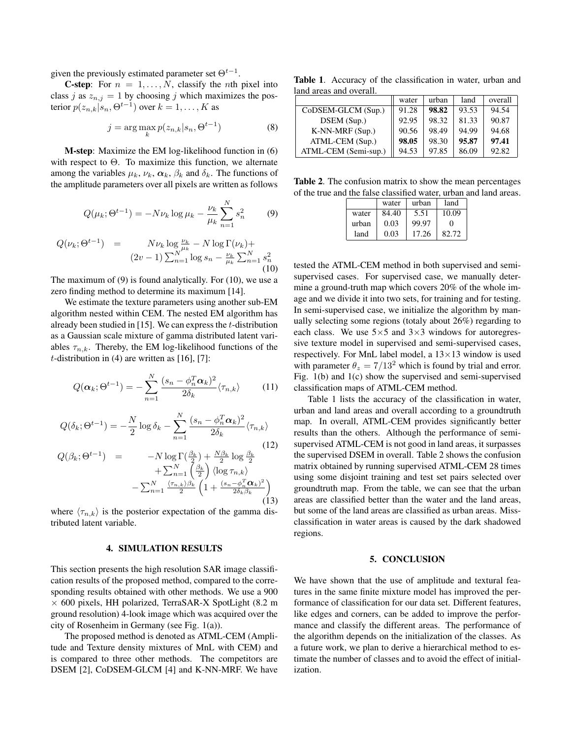given the previously estimated parameter set  $\Theta^{t-1}$ .

**C-step**: For  $n = 1, \ldots, N$ , classify the *n*th pixel into class j as  $z_{n,j} = 1$  by choosing j which maximizes the posterior  $p(z_{n,k}|s_n, \Theta^{t-1})$  over  $k = 1, \ldots, K$  as

$$
j = \arg\max_{k} p(z_{n,k}|s_n, \Theta^{t-1})
$$
\n(8)

**M-step**: Maximize the EM log-likelihood function in (6) with respect to  $\Theta$ . To maximize this function, we alternate among the variables  $\mu_k$ ,  $\nu_k$ ,  $\alpha_k$ ,  $\beta_k$  and  $\delta_k$ . The functions of the amplitude parameters over all pixels are written as follows

$$
Q(\mu_k; \Theta^{t-1}) = -N \nu_k \log \mu_k - \frac{\nu_k}{\mu_k} \sum_{n=1}^N s_n^2 \tag{9}
$$

$$
Q(\nu_k; \Theta^{t-1}) = N \nu_k \log \frac{\nu_k}{\mu_k} - N \log \Gamma(\nu_k) +
$$
  

$$
(2\nu - 1) \sum_{n=1}^{N} \log s_n - \frac{\nu_k}{\mu_k} \sum_{n=1}^{N} s_n^2
$$
  
(10)

The maximum of (9) is found analytically. For (10), we use a zero finding method to determine its maximum [14].

We estimate the texture parameters using another sub-EM algorithm nested within CEM. The nested EM algorithm has already been studied in [15]. We can express the  $t$ -distribution as a Gaussian scale mixture of gamma distributed latent variables  $\tau_{n,k}$ . Thereby, the EM log-likelihood functions of the t-distribution in (4) are written as  $[16]$ ,  $[7]$ :

$$
Q(\boldsymbol{\alpha}_k; \Theta^{t-1}) = -\sum_{n=1}^N \frac{(s_n - \phi_n^T \boldsymbol{\alpha}_k)^2}{2\delta_k} \langle \tau_{n,k} \rangle \qquad (11)
$$

$$
Q(\delta_k; \Theta^{t-1}) = -\frac{N}{2} \log \delta_k - \sum_{n=1}^N \frac{(s_n - \phi_n^T \alpha_k)^2}{2\delta_k} \langle \tau_{n,k} \rangle
$$
\n(12)

$$
Q(\beta_k; \Theta^{t-1}) = -N \log \Gamma(\frac{\beta_k}{2}) + \frac{N\beta_k}{2} \log \frac{\beta_k}{2} + \sum_{n=1}^N \left(\frac{\beta_k}{2}\right) \langle \log \tau_{n,k} \rangle - \sum_{n=1}^N \frac{\langle \tau_{n,k} \rangle \beta_k}{2} \left(1 + \frac{(s_n - \phi_n^T \mathbf{\alpha}_k)^2}{2 \delta_k \beta_k}\right)
$$
\n(13)

where  $\langle \tau_{n,k} \rangle$  is the posterior expectation of the gamma distributed latent variable.

#### **4. SIMULATION RESULTS**

This section presents the high resolution SAR image classification results of the proposed method, compared to the corresponding results obtained with other methods. We use a 900  $\times$  600 pixels, HH polarized, TerraSAR-X SpotLight (8.2 m ground resolution) 4-look image which was acquired over the city of Rosenheim in Germany (see Fig. 1(a)).

The proposed method is denoted as ATML-CEM (Amplitude and Texture density mixtures of MnL with CEM) and is compared to three other methods. The competitors are DSEM [2], CoDSEM-GLCM [4] and K-NN-MRF. We have

**Table 1**. Accuracy of the classification in water, urban and land areas and overall.

|                      | water | urban | land  | overall |
|----------------------|-------|-------|-------|---------|
| CoDSEM-GLCM (Sup.)   | 91.28 | 98.82 | 93.53 | 94.54   |
| DSEM (Sup.)          | 92.95 | 98.32 | 81.33 | 90.87   |
| $K-NN-MRF(Sup.)$     | 90.56 | 98.49 | 94.99 | 94.68   |
| ATML-CEM (Sup.)      | 98.05 | 98.30 | 95.87 | 97.41   |
| ATML-CEM (Semi-sup.) | 94.53 | 97.85 | 86.09 | 92.82   |

**Table 2**. The confusion matrix to show the mean percentages of the true and the false classified water, urban and land areas.

|       | water | urban | land              |
|-------|-------|-------|-------------------|
| water | 84.40 | 5.51  | 10.09             |
| urban | 0.03  | 99.97 | $\mathbf{\Omega}$ |
| land  | 0.03  | 17.26 | 82.72             |

tested the ATML-CEM method in both supervised and semisupervised cases. For supervised case, we manually determine a ground-truth map which covers 20% of the whole image and we divide it into two sets, for training and for testing. In semi-supervised case, we initialize the algorithm by manually selecting some regions (totaly about 26%) regarding to each class. We use  $5\times 5$  and  $3\times 3$  windows for autoregressive texture model in supervised and semi-supervised cases, respectively. For MnL label model, a  $13 \times 13$  window is used with parameter  $\theta_z = 7/13^2$  which is found by trial and error. Fig. 1(b) and 1(c) show the supervised and semi-supervised classification maps of ATML-CEM method.

Table 1 lists the accuracy of the classification in water, urban and land areas and overall according to a groundtruth map. In overall, ATML-CEM provides significantly better results than the others. Although the performance of semisupervised ATML-CEM is not good in land areas, it surpasses the supervised DSEM in overall. Table 2 shows the confusion matrix obtained by running supervised ATML-CEM 28 times using some disjoint training and test set pairs selected over groundtruth map. From the table, we can see that the urban areas are classified better than the water and the land areas, but some of the land areas are classified as urban areas. Missclassification in water areas is caused by the dark shadowed regions.

#### **5. CONCLUSION**

We have shown that the use of amplitude and textural features in the same finite mixture model has improved the performance of classification for our data set. Different features, like edges and corners, can be added to improve the performance and classify the different areas. The performance of the algorithm depends on the initialization of the classes. As a future work, we plan to derive a hierarchical method to estimate the number of classes and to avoid the effect of initialization.